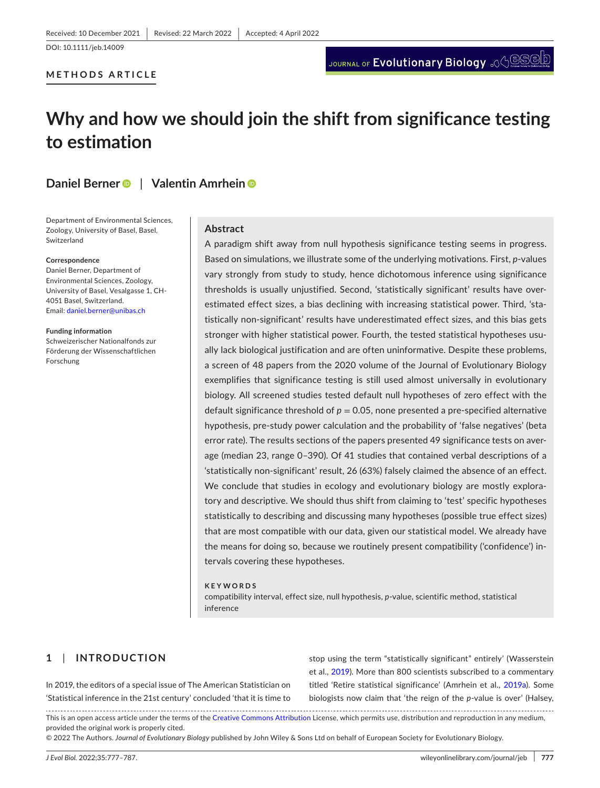DOI: 10.1111/jeb.14009

# **METHODS ARTICLE**

# **Why and how we should join the shift from significance testing to estimation**

# **Daniel Berne[r](https://orcid.org/0000-0003-3480-9046)** | **Valentin Amrhein**

Department of Environmental Sciences, Zoology, University of Basel, Basel, Switzerland

#### **Correspondence**

Daniel Berner, Department of Environmental Sciences, Zoology, University of Basel, Vesalgasse 1, CH-4051 Basel, Switzerland. Email: [daniel.berner@unibas.ch](mailto:daniel.berner@unibas.ch)

**Funding information** Schweizerischer Nationalfonds zur Förderung der Wissenschaftlichen Forschung

## **Abstract**

A paradigm shift away from null hypothesis significance testing seems in progress. Based on simulations, we illustrate some of the underlying motivations. First, *p*-values vary strongly from study to study, hence dichotomous inference using significance thresholds is usually unjustified. Second, 'statistically significant' results have overestimated effect sizes, a bias declining with increasing statistical power. Third, 'statistically non-significant' results have underestimated effect sizes, and this bias gets stronger with higher statistical power. Fourth, the tested statistical hypotheses usually lack biological justification and are often uninformative. Despite these problems, a screen of 48 papers from the 2020 volume of the Journal of Evolutionary Biology exemplifies that significance testing is still used almost universally in evolutionary biology. All screened studies tested default null hypotheses of zero effect with the default significance threshold of  $p = 0.05$ , none presented a pre-specified alternative hypothesis, pre-study power calculation and the probability of 'false negatives' (beta error rate). The results sections of the papers presented 49 significance tests on average (median 23, range 0–390). Of 41 studies that contained verbal descriptions of a 'statistically non-significant' result, 26 (63%) falsely claimed the absence of an effect. We conclude that studies in ecology and evolutionary biology are mostly exploratory and descriptive. We should thus shift from claiming to 'test' specific hypotheses statistically to describing and discussing many hypotheses (possible true effect sizes) that are most compatible with our data, given our statistical model. We already have the means for doing so, because we routinely present compatibility ('confidence') intervals covering these hypotheses.

#### **KEYWORDS**

compatibility interval, effect size, null hypothesis, *p*-value, scientific method, statistical inference

# **1**  | **INTRODUCTION**

In 2019, the editors of a special issue of The American Statistician on 'Statistical inference in the 21st century' concluded 'that it is time to stop using the term "statistically significant" entirely' (Wasserstein et al., [2019](#page-10-0)). More than 800 scientists subscribed to a commentary titled 'Retire statistical significance' (Amrhein et al., [2019a](#page-8-0)). Some biologists now claim that 'the reign of the *p*-value is over' (Halsey,

This is an open access article under the terms of the [Creative Commons Attribution](http://creativecommons.org/licenses/by/4.0/) License, which permits use, distribution and reproduction in any medium, provided the original work is properly cited.

© 2022 The Authors. *Journal of Evolutionary Biology* published by John Wiley & Sons Ltd on behalf of European Society for Evolutionary Biology.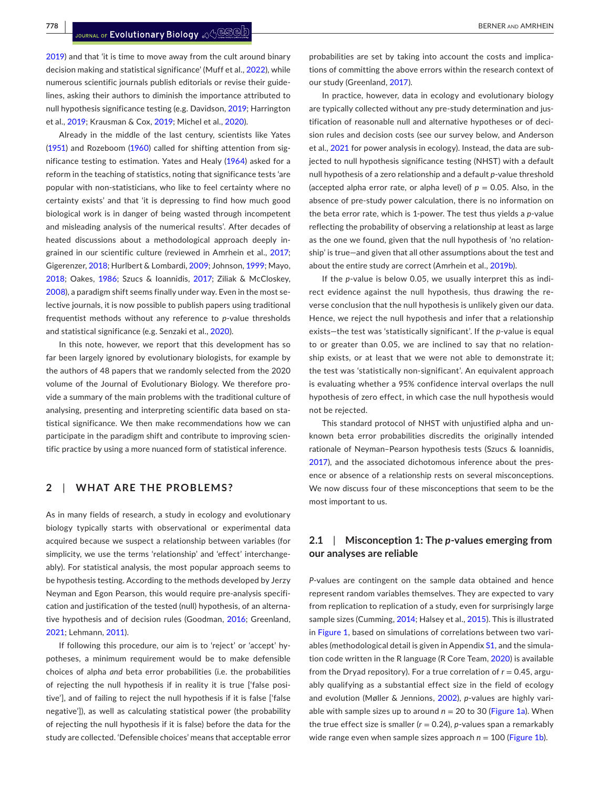**778 <sup>|</sup>**  BERNER and AMRHEIN

[2019\)](#page-9-0) and that 'it is time to move away from the cult around binary decision making and statistical significance' (Muff et al., [2022](#page-10-1)), while numerous scientific journals publish editorials or revise their guidelines, asking their authors to diminish the importance attributed to null hypothesis significance testing (e.g. Davidson, [2019;](#page-9-1) Harrington et al., [2019](#page-9-2); Krausman & Cox, [2019;](#page-9-3) Michel et al., [2020](#page-10-2)).

Already in the middle of the last century, scientists like Yates ([1951](#page-10-3)) and Rozeboom [\(1960\)](#page-10-4) called for shifting attention from significance testing to estimation. Yates and Healy ([1964](#page-10-5)) asked for a reform in the teaching of statistics, noting that significance tests 'are popular with non-statisticians, who like to feel certainty where no certainty exists' and that 'it is depressing to find how much good biological work is in danger of being wasted through incompetent and misleading analysis of the numerical results'. After decades of heated discussions about a methodological approach deeply in-grained in our scientific culture (reviewed in Amrhein et al., [2017](#page-8-1); Gigerenzer, [2018](#page-9-4); Hurlbert & Lombardi, [2009](#page-9-5); Johnson, [1999;](#page-9-6) Mayo, [2018](#page-10-6); Oakes, [1986](#page-10-7); Szucs & Ioannidis, [2017](#page-10-8); Ziliak & McCloskey, [2008\)](#page-10-9), a paradigm shift seems finally under way. Even in the most selective journals, it is now possible to publish papers using traditional frequentist methods without any reference to *p*-value thresholds and statistical significance (e.g. Senzaki et al., [2020\)](#page-10-10).

In this note, however, we report that this development has so far been largely ignored by evolutionary biologists, for example by the authors of 48 papers that we randomly selected from the 2020 volume of the Journal of Evolutionary Biology. We therefore provide a summary of the main problems with the traditional culture of analysing, presenting and interpreting scientific data based on statistical significance. We then make recommendations how we can participate in the paradigm shift and contribute to improving scientific practice by using a more nuanced form of statistical inference.

## **2**  | **WHAT ARE THE PROBLEMS?**

As in many fields of research, a study in ecology and evolutionary biology typically starts with observational or experimental data acquired because we suspect a relationship between variables (for simplicity, we use the terms 'relationship' and 'effect' interchangeably). For statistical analysis, the most popular approach seems to be hypothesis testing. According to the methods developed by Jerzy Neyman and Egon Pearson, this would require pre-analysis specification and justification of the tested (null) hypothesis, of an alternative hypothesis and of decision rules (Goodman, [2016;](#page-9-7) Greenland, [2021](#page-9-8); Lehmann, [2011\)](#page-10-11).

If following this procedure, our aim is to 'reject' or 'accept' hypotheses, a minimum requirement would be to make defensible choices of alpha *and* beta error probabilities (i.e. the probabilities of rejecting the null hypothesis if in reality it is true ['false positive'], and of failing to reject the null hypothesis if it is false ['false negative']), as well as calculating statistical power (the probability of rejecting the null hypothesis if it is false) before the data for the study are collected. 'Defensible choices' means that acceptable error

probabilities are set by taking into account the costs and implications of committing the above errors within the research context of our study (Greenland, [2017](#page-9-9)).

In practice, however, data in ecology and evolutionary biology are typically collected without any pre-study determination and justification of reasonable null and alternative hypotheses or of decision rules and decision costs (see our survey below, and Anderson et al., [2021](#page-8-2) for power analysis in ecology). Instead, the data are subjected to null hypothesis significance testing (NHST) with a default null hypothesis of a zero relationship and a default *p*-value threshold (accepted alpha error rate, or alpha level) of  $p = 0.05$ . Also, in the absence of pre-study power calculation, there is no information on the beta error rate, which is 1-power. The test thus yields a *p*-value reflecting the probability of observing a relationship at least as large as the one we found, given that the null hypothesis of 'no relationship' is true—and given that all other assumptions about the test and about the entire study are correct (Amrhein et al., [2019b](#page-8-3)).

If the *p*-value is below 0.05, we usually interpret this as indirect evidence against the null hypothesis, thus drawing the reverse conclusion that the null hypothesis is unlikely given our data. Hence, we reject the null hypothesis and infer that a relationship exists—the test was 'statistically significant'. If the *p*-value is equal to or greater than 0.05, we are inclined to say that no relationship exists, or at least that we were not able to demonstrate it; the test was 'statistically non-significant'. An equivalent approach is evaluating whether a 95% confidence interval overlaps the null hypothesis of zero effect, in which case the null hypothesis would not be rejected.

This standard protocol of NHST with unjustified alpha and unknown beta error probabilities discredits the originally intended rationale of Neyman–Pearson hypothesis tests (Szucs & Ioannidis, [2017\)](#page-10-8), and the associated dichotomous inference about the presence or absence of a relationship rests on several misconceptions. We now discuss four of these misconceptions that seem to be the most important to us.

## **2.1**  | **Misconception 1: The** *p***-values emerging from our analyses are reliable**

*P*-values are contingent on the sample data obtained and hence represent random variables themselves. They are expected to vary from replication to replication of a study, even for surprisingly large sample sizes (Cumming, [2014](#page-9-10); Halsey et al., [2015\)](#page-9-11). This is illustrated in Figure [1,](#page-2-0) based on simulations of correlations between two vari-ables (methodological detail is given in Appendix [S1](#page-10-12), and the simulation code written in the R language (R Core Team, [2020](#page-10-13)) is available from the Dryad repository). For a true correlation of *r* = 0.45, arguably qualifying as a substantial effect size in the field of ecology and evolution (Møller & Jennions, [2002\)](#page-10-14), *p*-values are highly variable with sample sizes up to around  $n = 20$  to 30 (Figure [1a](#page-2-0)). When the true effect size is smaller  $(r = 0.24)$ , *p*-values span a remarkably wide range even when sample sizes approach  $n = 100$  (Figure [1b\)](#page-2-0).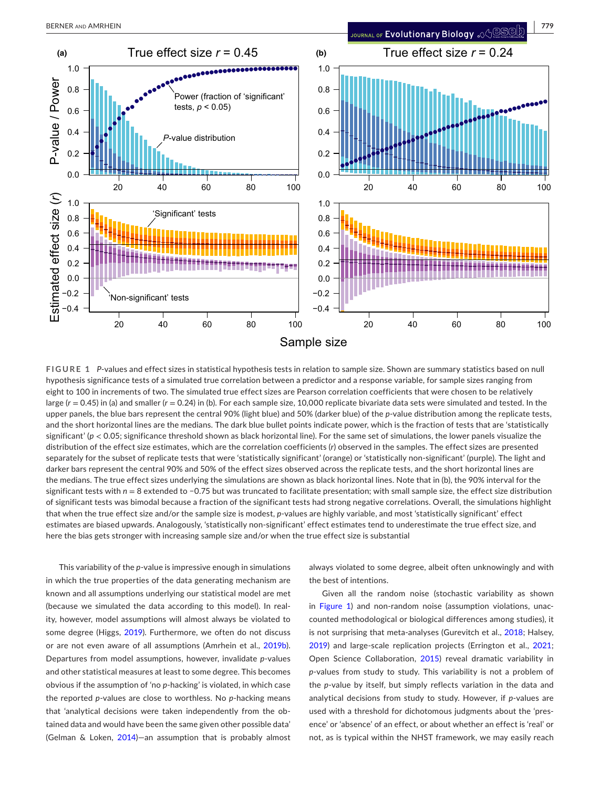

<span id="page-2-0"></span>**FIGURE 1** *P*-values and effect sizes in statistical hypothesis tests in relation to sample size. Shown are summary statistics based on null hypothesis significance tests of a simulated true correlation between a predictor and a response variable, for sample sizes ranging from eight to 100 in increments of two. The simulated true effect sizes are Pearson correlation coefficients that were chosen to be relatively large (*r* = 0.45) in (a) and smaller (*r* = 0.24) in (b). For each sample size, 10,000 replicate bivariate data sets were simulated and tested. In the upper panels, the blue bars represent the central 90% (light blue) and 50% (darker blue) of the *p*-value distribution among the replicate tests, and the short horizontal lines are the medians. The dark blue bullet points indicate power, which is the fraction of tests that are 'statistically significant' (*p* < 0.05; significance threshold shown as black horizontal line). For the same set of simulations, the lower panels visualize the distribution of the effect size estimates, which are the correlation coefficients (*r*) observed in the samples. The effect sizes are presented separately for the subset of replicate tests that were 'statistically significant' (orange) or 'statistically non-significant' (purple). The light and darker bars represent the central 90% and 50% of the effect sizes observed across the replicate tests, and the short horizontal lines are the medians. The true effect sizes underlying the simulations are shown as black horizontal lines. Note that in (b), the 90% interval for the significant tests with *n* = 8 extended to −0.75 but was truncated to facilitate presentation; with small sample size, the effect size distribution of significant tests was bimodal because a fraction of the significant tests had strong negative correlations. Overall, the simulations highlight that when the true effect size and/or the sample size is modest, *p*-values are highly variable, and most 'statistically significant' effect estimates are biased upwards. Analogously, 'statistically non-significant' effect estimates tend to underestimate the true effect size, and here the bias gets stronger with increasing sample size and/or when the true effect size is substantial

This variability of the *p*-value is impressive enough in simulations in which the true properties of the data generating mechanism are known and all assumptions underlying our statistical model are met (because we simulated the data according to this model). In reality, however, model assumptions will almost always be violated to some degree (Higgs, [2019\)](#page-9-12). Furthermore, we often do not discuss or are not even aware of all assumptions (Amrhein et al., [2019b](#page-8-3)). Departures from model assumptions, however, invalidate *p*-values and other statistical measures at least to some degree. This becomes obvious if the assumption of 'no *p*-hacking' is violated, in which case the reported *p*-values are close to worthless. No *p*-hacking means that 'analytical decisions were taken independently from the obtained data and would have been the same given other possible data' (Gelman & Loken, [2014](#page-9-13))—an assumption that is probably almost always violated to some degree, albeit often unknowingly and with the best of intentions.

Given all the random noise (stochastic variability as shown in Figure [1](#page-2-0)) and non-random noise (assumption violations, unaccounted methodological or biological differences among studies), it is not surprising that meta-analyses (Gurevitch et al., [2018](#page-9-14); Halsey, [2019](#page-9-0)) and large-scale replication projects (Errington et al., [2021;](#page-9-15) Open Science Collaboration, [2015](#page-10-15)) reveal dramatic variability in *p*-values from study to study. This variability is not a problem of the *p*-value by itself, but simply reflects variation in the data and analytical decisions from study to study. However, if *p*-values are used with a threshold for dichotomous judgments about the 'presence' or 'absence' of an effect, or about whether an effect is 'real' or not, as is typical within the NHST framework, we may easily reach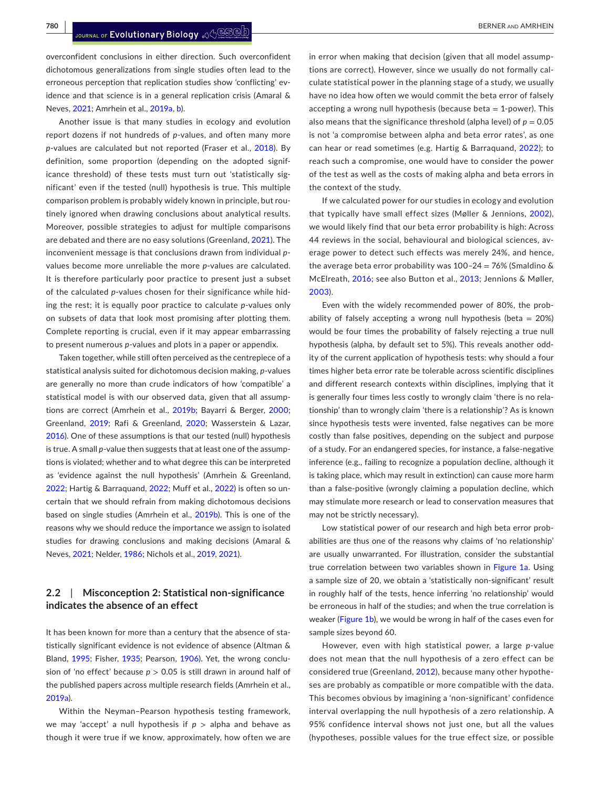overconfident conclusions in either direction. Such overconfident dichotomous generalizations from single studies often lead to the erroneous perception that replication studies show 'conflicting' evidence and that science is in a general replication crisis (Amaral & Neves, [2021;](#page-8-4) Amrhein et al., [2019a](#page-8-0), [b\)](#page-8-0).

Another issue is that many studies in ecology and evolution report dozens if not hundreds of *p*-values, and often many more *p*-values are calculated but not reported (Fraser et al., [2018\)](#page-9-16). By definition, some proportion (depending on the adopted significance threshold) of these tests must turn out 'statistically significant' even if the tested (null) hypothesis is true. This multiple comparison problem is probably widely known in principle, but routinely ignored when drawing conclusions about analytical results. Moreover, possible strategies to adjust for multiple comparisons are debated and there are no easy solutions (Greenland, [2021\)](#page-9-8). The inconvenient message is that conclusions drawn from individual *p*values become more unreliable the more *p*-values are calculated. It is therefore particularly poor practice to present just a subset of the calculated *p*-values chosen for their significance while hiding the rest; it is equally poor practice to calculate *p*-values only on subsets of data that look most promising after plotting them. Complete reporting is crucial, even if it may appear embarrassing to present numerous *p*-values and plots in a paper or appendix.

Taken together, while still often perceived as the centrepiece of a statistical analysis suited for dichotomous decision making, *p*-values are generally no more than crude indicators of how 'compatible' a statistical model is with our observed data, given that all assumptions are correct (Amrhein et al., [2019b](#page-8-3); Bayarri & Berger, [2000](#page-8-5); Greenland, [2019](#page-9-17); Rafi & Greenland, [2020](#page-10-16); Wasserstein & Lazar, [2016](#page-10-17)). One of these assumptions is that our tested (null) hypothesis is true. A small *p*-value then suggests that at least one of the assumptions is violated; whether and to what degree this can be interpreted as 'evidence against the null hypothesis' (Amrhein & Greenland, [2022](#page-8-6); Hartig & Barraquand, [2022](#page-9-18); Muff et al., [2022](#page-10-1)) is often so uncertain that we should refrain from making dichotomous decisions based on single studies (Amrhein et al., [2019b](#page-8-3)). This is one of the reasons why we should reduce the importance we assign to isolated studies for drawing conclusions and making decisions (Amaral & Neves, [2021;](#page-8-4) Nelder, [1986](#page-10-18); Nichols et al., [2019](#page-10-19), [2021\)](#page-10-20).

## **2.2**  | **Misconception 2: Statistical non-significance indicates the absence of an effect**

It has been known for more than a century that the absence of statistically significant evidence is not evidence of absence (Altman & Bland, [1995](#page-8-7); Fisher, [1935](#page-9-19); Pearson, [1906](#page-10-21)). Yet, the wrong conclusion of 'no effect' because  $p > 0.05$  is still drawn in around half of the published papers across multiple research fields (Amrhein et al., [2019a\)](#page-8-0).

Within the Neyman–Pearson hypothesis testing framework, we may 'accept' a null hypothesis if  $p >$  alpha and behave as though it were true if we know, approximately, how often we are

in error when making that decision (given that all model assumptions are correct). However, since we usually do not formally calculate statistical power in the planning stage of a study, we usually have no idea how often we would commit the beta error of falsely accepting a wrong null hypothesis (because beta  $= 1$ -power). This also means that the significance threshold (alpha level) of  $p = 0.05$ is not 'a compromise between alpha and beta error rates', as one can hear or read sometimes (e.g. Hartig & Barraquand, [2022\)](#page-9-18); to reach such a compromise, one would have to consider the power of the test as well as the costs of making alpha and beta errors in the context of the study.

If we calculated power for our studies in ecology and evolution that typically have small effect sizes (Møller & Jennions, [2002\)](#page-10-14), we would likely find that our beta error probability is high: Across 44 reviews in the social, behavioural and biological sciences, average power to detect such effects was merely 24%, and hence, the average beta error probability was  $100-24 = 76%$  (Smaldino & McElreath, [2016;](#page-10-22) see also Button et al., [2013](#page-8-8); Jennions & Møller, [2003\)](#page-9-20).

Even with the widely recommended power of 80%, the probability of falsely accepting a wrong null hypothesis (beta  $= 20\%$ ) would be four times the probability of falsely rejecting a true null hypothesis (alpha, by default set to 5%). This reveals another oddity of the current application of hypothesis tests: why should a four times higher beta error rate be tolerable across scientific disciplines and different research contexts within disciplines, implying that it is generally four times less costly to wrongly claim 'there is no relationship' than to wrongly claim 'there is a relationship'? As is known since hypothesis tests were invented, false negatives can be more costly than false positives, depending on the subject and purpose of a study. For an endangered species, for instance, a false-negative inference (e.g., failing to recognize a population decline, although it is taking place, which may result in extinction) can cause more harm than a false-positive (wrongly claiming a population decline, which may stimulate more research or lead to conservation measures that may not be strictly necessary).

Low statistical power of our research and high beta error probabilities are thus one of the reasons why claims of 'no relationship' are usually unwarranted. For illustration, consider the substantial true correlation between two variables shown in Figure [1a.](#page-2-0) Using a sample size of 20, we obtain a 'statistically non-significant' result in roughly half of the tests, hence inferring 'no relationship' would be erroneous in half of the studies; and when the true correlation is weaker (Figure [1b](#page-2-0)), we would be wrong in half of the cases even for sample sizes beyond 60.

However, even with high statistical power, a large *p*-value does not mean that the null hypothesis of a zero effect can be considered true (Greenland, [2012](#page-9-21)), because many other hypotheses are probably as compatible or more compatible with the data. This becomes obvious by imagining a 'non-significant' confidence interval overlapping the null hypothesis of a zero relationship. A 95% confidence interval shows not just one, but all the values (hypotheses, possible values for the true effect size, or possible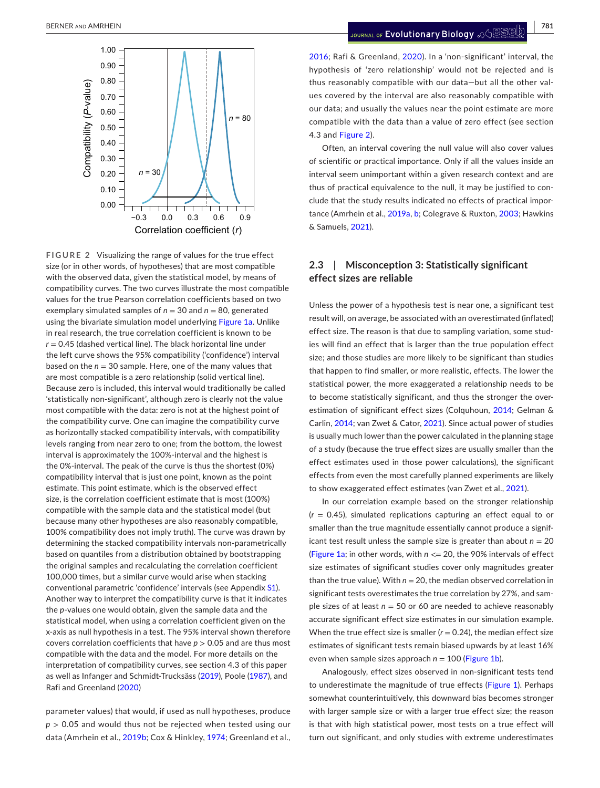

<span id="page-4-0"></span>**FIGURE 2** Visualizing the range of values for the true effect size (or in other words, of hypotheses) that are most compatible with the observed data, given the statistical model, by means of compatibility curves. The two curves illustrate the most compatible values for the true Pearson correlation coefficients based on two exemplary simulated samples of  $n = 30$  and  $n = 80$ , generated using the bivariate simulation model underlying Figure [1a.](#page-2-0) Unlike in real research, the true correlation coefficient is known to be  $r = 0.45$  (dashed vertical line). The black horizontal line under the left curve shows the 95% compatibility ('confidence') interval based on the  $n = 30$  sample. Here, one of the many values that are most compatible is a zero relationship (solid vertical line). Because zero is included, this interval would traditionally be called 'statistically non-significant', although zero is clearly not the value most compatible with the data: zero is not at the highest point of the compatibility curve. One can imagine the compatibility curve as horizontally stacked compatibility intervals, with compatibility levels ranging from near zero to one; from the bottom, the lowest interval is approximately the 100%-interval and the highest is the 0%-interval. The peak of the curve is thus the shortest (0%) compatibility interval that is just one point, known as the point estimate. This point estimate, which is the observed effect size, is the correlation coefficient estimate that is most (100%) compatible with the sample data and the statistical model (but because many other hypotheses are also reasonably compatible, 100% compatibility does not imply truth). The curve was drawn by determining the stacked compatibility intervals non-parametrically based on quantiles from a distribution obtained by bootstrapping the original samples and recalculating the correlation coefficient 100,000 times, but a similar curve would arise when stacking conventional parametric 'confidence' intervals (see Appendix [S1](#page-10-12)). Another way to interpret the compatibility curve is that it indicates the *p*-values one would obtain, given the sample data and the statistical model, when using a correlation coefficient given on the x-axis as null hypothesis in a test. The 95% interval shown therefore covers correlation coefficients that have *p* > 0.05 and are thus most compatible with the data and the model. For more details on the interpretation of compatibility curves, see section 4.3 of this paper as well as Infanger and Schmidt-Trucksäss ([2019](#page-9-28)), Poole ([1987\)](#page-10-25), and Rafi and Greenland ([2020\)](#page-10-16)

parameter values) that would, if used as null hypotheses, produce *p* > 0.05 and would thus not be rejected when tested using our data (Amrhein et al., [2019b](#page-8-3); Cox & Hinkley, [1974](#page-9-22); Greenland et al.,

[2016](#page-9-23); Rafi & Greenland, [2020](#page-10-16)). In a 'non-significant' interval, the hypothesis of 'zero relationship' would not be rejected and is thus reasonably compatible with our data—but all the other values covered by the interval are also reasonably compatible with our data; and usually the values near the point estimate are more compatible with the data than a value of zero effect (see section 4.3 and Figure [2\)](#page-4-0).

Often, an interval covering the null value will also cover values of scientific or practical importance. Only if all the values inside an interval seem unimportant within a given research context and are thus of practical equivalence to the null, it may be justified to conclude that the study results indicated no effects of practical importance (Amrhein et al., [2019a](#page-8-0), [b](#page-8-0); Colegrave & Ruxton, [2003;](#page-9-24) Hawkins & Samuels, [2021\)](#page-9-25).

## **2.3**  | **Misconception 3: Statistically significant effect sizes are reliable**

Unless the power of a hypothesis test is near one, a significant test result will, on average, be associated with an overestimated (inflated) effect size. The reason is that due to sampling variation, some studies will find an effect that is larger than the true population effect size; and those studies are more likely to be significant than studies that happen to find smaller, or more realistic, effects. The lower the statistical power, the more exaggerated a relationship needs to be to become statistically significant, and thus the stronger the overestimation of significant effect sizes (Colquhoun, [2014](#page-9-26); Gelman & Carlin, [2014](#page-9-27); van Zwet & Cator, [2021](#page-10-23)). Since actual power of studies is usually much lower than the power calculated in the planning stage of a study (because the true effect sizes are usually smaller than the effect estimates used in those power calculations), the significant effects from even the most carefully planned experiments are likely to show exaggerated effect estimates (van Zwet et al., [2021](#page-10-24)).

In our correlation example based on the stronger relationship (*r* = 0.45), simulated replications capturing an effect equal to or smaller than the true magnitude essentially cannot produce a significant test result unless the sample size is greater than about  $n = 20$ (Figure [1a;](#page-2-0) in other words, with *n* <= 20, the 90% intervals of effect size estimates of significant studies cover only magnitudes greater than the true value). With  $n = 20$ , the median observed correlation in significant tests overestimates the true correlation by 27%, and sample sizes of at least *n* = 50 or 60 are needed to achieve reasonably accurate significant effect size estimates in our simulation example. When the true effect size is smaller  $(r = 0.24)$ , the median effect size estimates of significant tests remain biased upwards by at least 16% even when sample sizes approach  $n = 100$  (Figure [1b\)](#page-2-0).

Analogously, effect sizes observed in non-significant tests tend to underestimate the magnitude of true effects (Figure [1](#page-2-0)). Perhaps somewhat counterintuitively, this downward bias becomes stronger with larger sample size or with a larger true effect size; the reason is that with high statistical power, most tests on a true effect will turn out significant, and only studies with extreme underestimates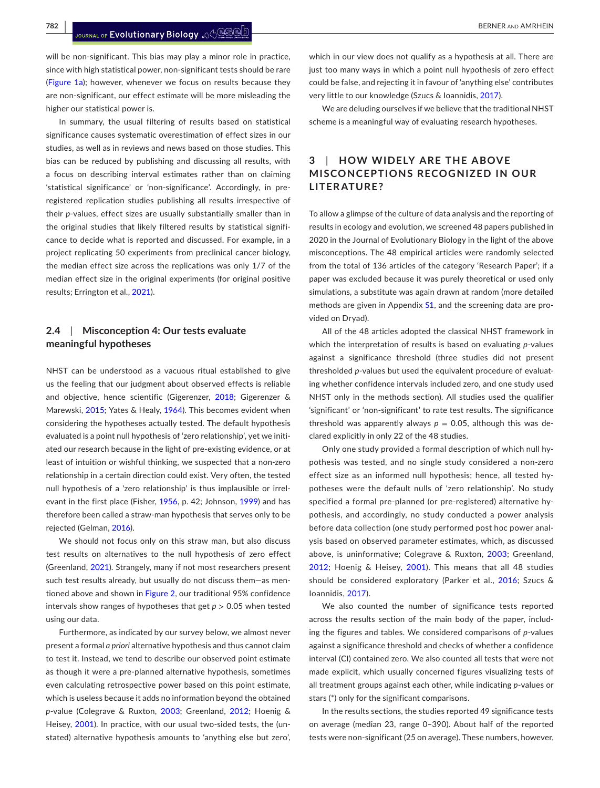will be non-significant. This bias may play a minor role in practice, since with high statistical power, non-significant tests should be rare (Figure [1a](#page-2-0)); however, whenever we focus on results because they are non-significant, our effect estimate will be more misleading the higher our statistical power is.

In summary, the usual filtering of results based on statistical significance causes systematic overestimation of effect sizes in our studies, as well as in reviews and news based on those studies. This bias can be reduced by publishing and discussing all results, with a focus on describing interval estimates rather than on claiming 'statistical significance' or 'non-significance'. Accordingly, in preregistered replication studies publishing all results irrespective of their *p*-values, effect sizes are usually substantially smaller than in the original studies that likely filtered results by statistical significance to decide what is reported and discussed. For example, in a project replicating 50 experiments from preclinical cancer biology, the median effect size across the replications was only 1/7 of the median effect size in the original experiments (for original positive results; Errington et al., [2021\)](#page-9-15).

## **2.4**  | **Misconception 4: Our tests evaluate meaningful hypotheses**

NHST can be understood as a vacuous ritual established to give us the feeling that our judgment about observed effects is reliable and objective, hence scientific (Gigerenzer, [2018](#page-9-4); Gigerenzer & Marewski, [2015](#page-9-29); Yates & Healy, [1964](#page-10-5)). This becomes evident when considering the hypotheses actually tested. The default hypothesis evaluated is a point null hypothesis of 'zero relationship', yet we initiated our research because in the light of pre-existing evidence, or at least of intuition or wishful thinking, we suspected that a non-zero relationship in a certain direction could exist. Very often, the tested null hypothesis of a 'zero relationship' is thus implausible or irrel-evant in the first place (Fisher, [1956](#page-9-30), p. 42; Johnson, [1999](#page-9-6)) and has therefore been called a straw-man hypothesis that serves only to be rejected (Gelman, [2016](#page-9-31)).

We should not focus only on this straw man, but also discuss test results on alternatives to the null hypothesis of zero effect (Greenland, [2021](#page-9-8)). Strangely, many if not most researchers present such test results already, but usually do not discuss them—as men-tioned above and shown in Figure [2,](#page-4-0) our traditional 95% confidence intervals show ranges of hypotheses that get  $p > 0.05$  when tested using our data.

Furthermore, as indicated by our survey below, we almost never present a formal *a priori* alternative hypothesis and thus cannot claim to test it. Instead, we tend to describe our observed point estimate as though it were a pre-planned alternative hypothesis, sometimes even calculating retrospective power based on this point estimate, which is useless because it adds no information beyond the obtained *p*-value (Colegrave & Ruxton, [2003;](#page-9-24) Greenland, [2012](#page-9-21); Hoenig & Heisey, [2001](#page-9-32)). In practice, with our usual two-sided tests, the (unstated) alternative hypothesis amounts to 'anything else but zero',

which in our view does not qualify as a hypothesis at all. There are just too many ways in which a point null hypothesis of zero effect could be false, and rejecting it in favour of 'anything else' contributes very little to our knowledge (Szucs & Ioannidis, [2017](#page-10-8)).

We are deluding ourselves if we believe that the traditional NHST scheme is a meaningful way of evaluating research hypotheses.

## **3**  | **HOW WIDELY ARE THE ABOVE MISCONCEPTIONS RECOGNIZED IN OUR LITERATURE?**

To allow a glimpse of the culture of data analysis and the reporting of results in ecology and evolution, we screened 48 papers published in 2020 in the Journal of Evolutionary Biology in the light of the above misconceptions. The 48 empirical articles were randomly selected from the total of 136 articles of the category 'Research Paper'; if a paper was excluded because it was purely theoretical or used only simulations, a substitute was again drawn at random (more detailed methods are given in Appendix [S1](#page-10-12), and the screening data are provided on Dryad).

All of the 48 articles adopted the classical NHST framework in which the interpretation of results is based on evaluating *p*-values against a significance threshold (three studies did not present thresholded *p*-values but used the equivalent procedure of evaluating whether confidence intervals included zero, and one study used NHST only in the methods section). All studies used the qualifier 'significant' or 'non-significant' to rate test results. The significance threshold was apparently always  $p = 0.05$ , although this was declared explicitly in only 22 of the 48 studies.

Only one study provided a formal description of which null hypothesis was tested, and no single study considered a non-zero effect size as an informed null hypothesis; hence, all tested hypotheses were the default nulls of 'zero relationship'. No study specified a formal pre-planned (or pre-registered) alternative hypothesis, and accordingly, no study conducted a power analysis before data collection (one study performed post hoc power analysis based on observed parameter estimates, which, as discussed above, is uninformative; Colegrave & Ruxton, [2003](#page-9-24); Greenland, [2012](#page-9-21); Hoenig & Heisey, [2001](#page-9-32)). This means that all 48 studies should be considered exploratory (Parker et al., [2016](#page-10-26); Szucs & Ioannidis, [2017\)](#page-10-8).

We also counted the number of significance tests reported across the results section of the main body of the paper, including the figures and tables. We considered comparisons of *p*-values against a significance threshold and checks of whether a confidence interval (CI) contained zero. We also counted all tests that were not made explicit, which usually concerned figures visualizing tests of all treatment groups against each other, while indicating *p*-values or stars (\*) only for the significant comparisons.

In the results sections, the studies reported 49 significance tests on average (median 23, range 0–390). About half of the reported tests were non-significant (25 on average). These numbers, however,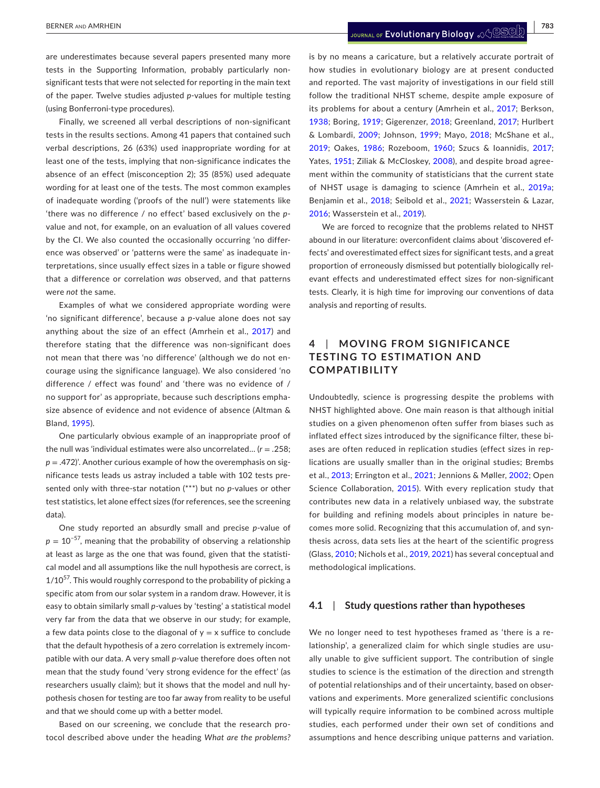are underestimates because several papers presented many more tests in the Supporting Information, probably particularly nonsignificant tests that were not selected for reporting in the main text of the paper. Twelve studies adjusted *p*-values for multiple testing (using Bonferroni-type procedures).

Finally, we screened all verbal descriptions of non-significant tests in the results sections. Among 41 papers that contained such verbal descriptions, 26 (63%) used inappropriate wording for at least one of the tests, implying that non-significance indicates the absence of an effect (misconception 2); 35 (85%) used adequate wording for at least one of the tests. The most common examples of inadequate wording ('proofs of the null') were statements like 'there was no difference / no effect' based exclusively on the *p*value and not, for example, on an evaluation of all values covered by the CI. We also counted the occasionally occurring 'no difference was observed' or 'patterns were the same' as inadequate interpretations, since usually effect sizes in a table or figure showed that a difference or correlation *was* observed, and that patterns were *not* the same.

Examples of what we considered appropriate wording were 'no significant difference', because a *p*-value alone does not say anything about the size of an effect (Amrhein et al., [2017](#page-8-1)) and therefore stating that the difference was non-significant does not mean that there was 'no difference' (although we do not encourage using the significance language). We also considered 'no difference / effect was found' and 'there was no evidence of / no support for' as appropriate, because such descriptions emphasize absence of evidence and not evidence of absence (Altman & Bland, [1995\)](#page-8-7).

One particularly obvious example of an inappropriate proof of the null was 'individual estimates were also uncorrelated… (*r* = .258; *p* = .472)'. Another curious example of how the overemphasis on significance tests leads us astray included a table with 102 tests presented only with three-star notation (\*\*\*) but no *p*-values or other test statistics, let alone effect sizes (for references, see the screening data).

One study reported an absurdly small and precise *p*-value of  $p = 10^{-57}$ , meaning that the probability of observing a relationship at least as large as the one that was found, given that the statistical model and all assumptions like the null hypothesis are correct, is  $1/10^{57}$ . This would roughly correspond to the probability of picking a specific atom from our solar system in a random draw. However, it is easy to obtain similarly small *p*-values by 'testing' a statistical model very far from the data that we observe in our study; for example, a few data points close to the diagonal of  $y = x$  suffice to conclude that the default hypothesis of a zero correlation is extremely incompatible with our data. A very small *p*-value therefore does often not mean that the study found 'very strong evidence for the effect' (as researchers usually claim); but it shows that the model and null hypothesis chosen for testing are too far away from reality to be useful and that we should come up with a better model.

Based on our screening, we conclude that the research protocol described above under the heading *What are the problems?* is by no means a caricature, but a relatively accurate portrait of how studies in evolutionary biology are at present conducted and reported. The vast majority of investigations in our field still follow the traditional NHST scheme, despite ample exposure of its problems for about a century (Amrhein et al., [2017;](#page-8-1) Berkson, [1938;](#page-8-9) Boring, [1919](#page-8-10); Gigerenzer, [2018;](#page-9-4) Greenland, [2017](#page-9-9); Hurlbert & Lombardi, [2009](#page-9-5); Johnson, [1999;](#page-9-6) Mayo, [2018;](#page-10-6) McShane et al., [2019;](#page-10-27) Oakes, [1986;](#page-10-7) Rozeboom, [1960](#page-10-4); Szucs & Ioannidis, [2017;](#page-10-8) Yates, [1951](#page-10-3); Ziliak & McCloskey, [2008\)](#page-10-9), and despite broad agreement within the community of statisticians that the current state of NHST usage is damaging to science (Amrhein et al., [2019a;](#page-8-0) Benjamin et al., [2018](#page-8-11); Seibold et al., [2021](#page-10-28); Wasserstein & Lazar, [2016;](#page-10-17) Wasserstein et al., [2019\)](#page-10-0).

We are forced to recognize that the problems related to NHST abound in our literature: overconfident claims about 'discovered effects' and overestimated effect sizes for significant tests, and a great proportion of erroneously dismissed but potentially biologically relevant effects and underestimated effect sizes for non-significant tests. Clearly, it is high time for improving our conventions of data analysis and reporting of results.

## **4**  | **MOVING FROM SIGNIFIC ANCE TESTING TO ESTIMATION AND COMPATIBILITY**

Undoubtedly, science is progressing despite the problems with NHST highlighted above. One main reason is that although initial studies on a given phenomenon often suffer from biases such as inflated effect sizes introduced by the significance filter, these biases are often reduced in replication studies (effect sizes in replications are usually smaller than in the original studies; Brembs et al., [2013;](#page-8-12) Errington et al., [2021](#page-9-15); Jennions & Møller, [2002;](#page-9-33) Open Science Collaboration, [2015\)](#page-10-15). With every replication study that contributes new data in a relatively unbiased way, the substrate for building and refining models about principles in nature becomes more solid. Recognizing that this accumulation of, and synthesis across, data sets lies at the heart of the scientific progress (Glass, [2010;](#page-9-34) Nichols et al., [2019,](#page-10-19) [2021\)](#page-10-20) has several conceptual and methodological implications.

#### **4.1**  | **Study questions rather than hypotheses**

We no longer need to test hypotheses framed as 'there is a relationship', a generalized claim for which single studies are usually unable to give sufficient support. The contribution of single studies to science is the estimation of the direction and strength of potential relationships and of their uncertainty, based on observations and experiments. More generalized scientific conclusions will typically require information to be combined across multiple studies, each performed under their own set of conditions and assumptions and hence describing unique patterns and variation.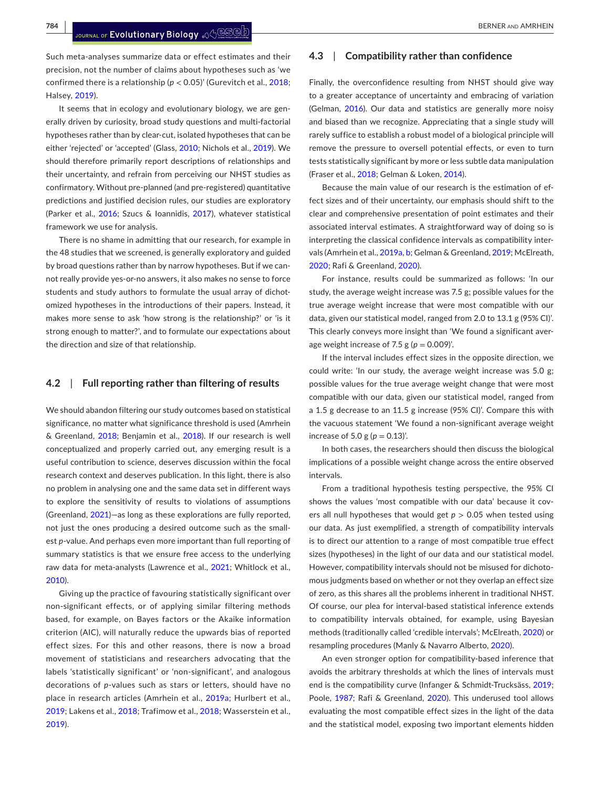Such meta-analyses summarize data or effect estimates and their precision, not the number of claims about hypotheses such as 'we confirmed there is a relationship ( $p < 0.05$ )' (Gurevitch et al., [2018](#page-9-14); Halsey, [2019](#page-9-0)).

It seems that in ecology and evolutionary biology, we are generally driven by curiosity, broad study questions and multi-factorial hypotheses rather than by clear-cut, isolated hypotheses that can be either 'rejected' or 'accepted' (Glass, [2010;](#page-9-34) Nichols et al., [2019\)](#page-10-19). We should therefore primarily report descriptions of relationships and their uncertainty, and refrain from perceiving our NHST studies as confirmatory. Without pre-planned (and pre-registered) quantitative predictions and justified decision rules, our studies are exploratory (Parker et al., [2016](#page-10-26); Szucs & Ioannidis, [2017\)](#page-10-8), whatever statistical framework we use for analysis.

There is no shame in admitting that our research, for example in the 48 studies that we screened, is generally exploratory and guided by broad questions rather than by narrow hypotheses. But if we cannot really provide yes-or-no answers, it also makes no sense to force students and study authors to formulate the usual array of dichotomized hypotheses in the introductions of their papers. Instead, it makes more sense to ask 'how strong is the relationship?' or 'is it strong enough to matter?', and to formulate our expectations about the direction and size of that relationship.

#### **4.2**  | **Full reporting rather than filtering of results**

We should abandon filtering our study outcomes based on statistical significance, no matter what significance threshold is used (Amrhein & Greenland, [2018;](#page-8-13) Benjamin et al., [2018](#page-8-11)). If our research is well conceptualized and properly carried out, any emerging result is a useful contribution to science, deserves discussion within the focal research context and deserves publication. In this light, there is also no problem in analysing one and the same data set in different ways to explore the sensitivity of results to violations of assumptions (Greenland, [2021](#page-9-8))—as long as these explorations are fully reported, not just the ones producing a desired outcome such as the smallest *p*-value. And perhaps even more important than full reporting of summary statistics is that we ensure free access to the underlying raw data for meta-analysts (Lawrence et al., [2021](#page-9-35); Whitlock et al., [2010](#page-10-29)).

Giving up the practice of favouring statistically significant over non-significant effects, or of applying similar filtering methods based, for example, on Bayes factors or the Akaike information criterion (AIC), will naturally reduce the upwards bias of reported effect sizes. For this and other reasons, there is now a broad movement of statisticians and researchers advocating that the labels 'statistically significant' or 'non-significant', and analogous decorations of *p*-values such as stars or letters, should have no place in research articles (Amrhein et al., [2019a](#page-8-0); Hurlbert et al., [2019;](#page-9-36) Lakens et al., [2018](#page-9-37); Trafimow et al., [2018;](#page-10-30) Wasserstein et al., [2019](#page-10-0)).

## **4.3**  | **Compatibility rather than confidence**

Finally, the overconfidence resulting from NHST should give way to a greater acceptance of uncertainty and embracing of variation (Gelman, [2016\)](#page-9-31). Our data and statistics are generally more noisy and biased than we recognize. Appreciating that a single study will rarely suffice to establish a robust model of a biological principle will remove the pressure to oversell potential effects, or even to turn tests statistically significant by more or less subtle data manipulation (Fraser et al., [2018](#page-9-16); Gelman & Loken, [2014](#page-9-13)).

Because the main value of our research is the estimation of effect sizes and of their uncertainty, our emphasis should shift to the clear and comprehensive presentation of point estimates and their associated interval estimates. A straightforward way of doing so is interpreting the classical confidence intervals as compatibility intervals (Amrhein et al., [2019a, b](#page-8-0); Gelman & Greenland, [2019](#page-9-38); McElreath, [2020](#page-10-31); Rafi & Greenland, [2020](#page-10-16)).

For instance, results could be summarized as follows: 'In our study, the average weight increase was 7.5 g; possible values for the true average weight increase that were most compatible with our data, given our statistical model, ranged from 2.0 to 13.1 g (95% CI)'. This clearly conveys more insight than 'We found a significant average weight increase of  $7.5$  g ( $p = 0.009$ )'.

If the interval includes effect sizes in the opposite direction, we could write: 'In our study, the average weight increase was 5.0 g; possible values for the true average weight change that were most compatible with our data, given our statistical model, ranged from a 1.5 g decrease to an 11.5 g increase (95% CI)'. Compare this with the vacuous statement 'We found a non-significant average weight increase of 5.0 g ( $p = 0.13$ )'.

In both cases, the researchers should then discuss the biological implications of a possible weight change across the entire observed intervals.

From a traditional hypothesis testing perspective, the 95% CI shows the values 'most compatible with our data' because it covers all null hypotheses that would get *p* > 0.05 when tested using our data. As just exemplified, a strength of compatibility intervals is to direct our attention to a range of most compatible true effect sizes (hypotheses) in the light of our data and our statistical model. However, compatibility intervals should not be misused for dichotomous judgments based on whether or not they overlap an effect size of zero, as this shares all the problems inherent in traditional NHST. Of course, our plea for interval-based statistical inference extends to compatibility intervals obtained, for example, using Bayesian methods (traditionally called 'credible intervals'; McElreath, [2020](#page-10-31)) or resampling procedures (Manly & Navarro Alberto, [2020](#page-10-32)).

An even stronger option for compatibility-based inference that avoids the arbitrary thresholds at which the lines of intervals must end is the compatibility curve (Infanger & Schmidt-Trucksäss, [2019;](#page-9-28) Poole, [1987](#page-10-25); Rafi & Greenland, [2020](#page-10-16)). This underused tool allows evaluating the most compatible effect sizes in the light of the data and the statistical model, exposing two important elements hidden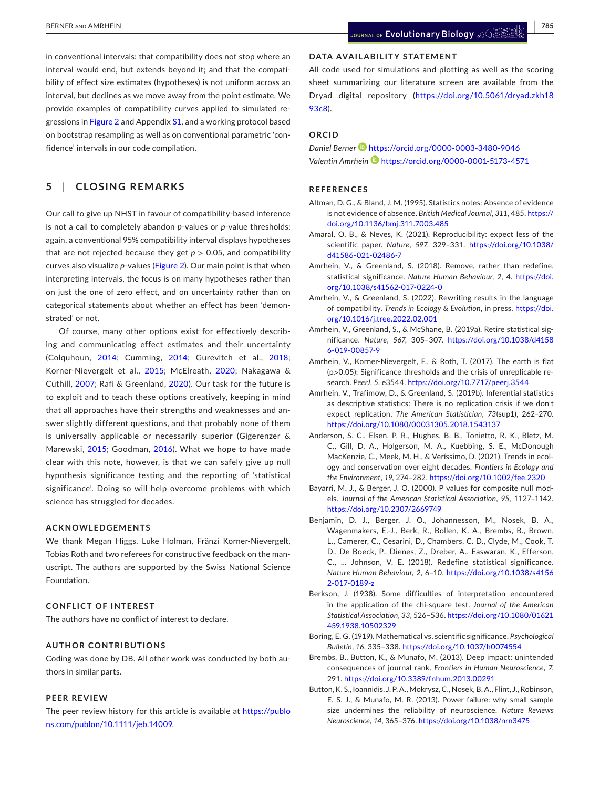in conventional intervals: that compatibility does not stop where an interval would end, but extends beyond it; and that the compatibility of effect size estimates (hypotheses) is not uniform across an interval, but declines as we move away from the point estimate. We provide examples of compatibility curves applied to simulated regressions in Figure [2](#page-4-0) and Appendix [S1](#page-10-12), and a working protocol based on bootstrap resampling as well as on conventional parametric 'confidence' intervals in our code compilation.

# **5**  | **CLOSING REMARKS**

Our call to give up NHST in favour of compatibility-based inference is not a call to completely abandon *p*-values or *p*-value thresholds: again, a conventional 95% compatibility interval displays hypotheses that are not rejected because they get  $p > 0.05$ , and compatibility curves also visualize *p*-values (Figure [2](#page-4-0)). Our main point is that when interpreting intervals, the focus is on many hypotheses rather than on just the one of zero effect, and on uncertainty rather than on categorical statements about whether an effect has been 'demonstrated' or not.

Of course, many other options exist for effectively describing and communicating effect estimates and their uncertainty (Colquhoun, [2014](#page-9-26); Cumming, [2014](#page-9-10); Gurevitch et al., [2018](#page-9-14); Korner-Nievergelt et al., [2015;](#page-9-39) McElreath, [2020](#page-10-31); Nakagawa & Cuthill, [2007](#page-10-33); Rafi & Greenland, [2020](#page-10-16)). Our task for the future is to exploit and to teach these options creatively, keeping in mind that all approaches have their strengths and weaknesses and answer slightly different questions, and that probably none of them is universally applicable or necessarily superior (Gigerenzer & Marewski, [2015;](#page-9-29) Goodman, [2016](#page-9-7)). What we hope to have made clear with this note, however, is that we can safely give up null hypothesis significance testing and the reporting of 'statistical significance'. Doing so will help overcome problems with which science has struggled for decades.

#### **ACKNOWLEDGEMENTS**

We thank Megan Higgs, Luke Holman, Fränzi Korner-Nievergelt, Tobias Roth and two referees for constructive feedback on the manuscript. The authors are supported by the Swiss National Science Foundation.

#### **CONFLICT OF INTEREST**

The authors have no conflict of interest to declare.

#### **AUTHOR CONTRIBUTIONS**

Coding was done by DB. All other work was conducted by both authors in similar parts.

#### **PEER REVIEW**

The peer review history for this article is available at [https://publo](https://publons.com/publon/10.1111/jeb.14009) [ns.com/publon/10.1111/jeb.14009](https://publons.com/publon/10.1111/jeb.14009).

## **DATA AVAILABILITY STATEMENT**

All code used for simulations and plotting as well as the scoring sheet summarizing our literature screen are available from the Dryad digital repository [\(https://doi.org/10.5061/dryad.zkh18](https://doi.org/10.5061/dryad.zkh1893c8) [93c8](https://doi.org/10.5061/dryad.zkh1893c8)).

## **ORCID**

*Daniel Berner* <https://orcid.org/0000-0003-3480-9046> *Valentin Amrhein* <https://orcid.org/0000-0001-5173-4571>

#### **REFERENCES**

- <span id="page-8-7"></span>Altman, D. G., & Bland, J. M. (1995). Statistics notes: Absence of evidence is not evidence of absence. *British Medical Journal*, *311*, 485. [https://](https://doi.org/10.1136/bmj.311.7003.485) [doi.org/10.1136/bmj.311.7003.485](https://doi.org/10.1136/bmj.311.7003.485)
- <span id="page-8-4"></span>Amaral, O. B., & Neves, K. (2021). Reproducibility: expect less of the scientific paper. *Nature*, *597*, 329–331. [https://doi.org/10.1038/](https://doi.org/10.1038/d41586-021-02486-7) [d41586-021-02486-7](https://doi.org/10.1038/d41586-021-02486-7)
- <span id="page-8-13"></span>Amrhein, V., & Greenland, S. (2018). Remove, rather than redefine, statistical significance. *Nature Human Behaviour*, *2*, 4. [https://doi.](https://doi.org/10.1038/s41562-017-0224-0) [org/10.1038/s41562-017-0224-0](https://doi.org/10.1038/s41562-017-0224-0)
- <span id="page-8-6"></span>Amrhein, V., & Greenland, S. (2022). Rewriting results in the language of compatibility. *Trends in Ecology & Evolution*, in press. [https://doi.](https://doi.org/10.1016/j.tree.2022.02.001) [org/10.1016/j.tree.2022.02.001](https://doi.org/10.1016/j.tree.2022.02.001)
- <span id="page-8-0"></span>Amrhein, V., Greenland, S., & McShane, B. (2019a). Retire statistical significance. *Nature*, *567*, 305–307. [https://doi.org/10.1038/d4158](https://doi.org/10.1038/d41586-019-00857-9) [6-019-00857-9](https://doi.org/10.1038/d41586-019-00857-9)
- <span id="page-8-1"></span>Amrhein, V., Korner-Nievergelt, F., & Roth, T. (2017). The earth is flat (p*>*0.05): Significance thresholds and the crisis of unreplicable research. *PeerJ*, *5*, e3544. <https://doi.org/10.7717/peerj.3544>
- <span id="page-8-3"></span>Amrhein, V., Trafimow, D., & Greenland, S. (2019b). Inferential statistics as descriptive statistics: There is no replication crisis if we don't expect replication. *The American Statistician*, *73*(sup1), 262–270. <https://doi.org/10.1080/00031305.2018.1543137>
- <span id="page-8-2"></span>Anderson, S. C., Elsen, P. R., Hughes, B. B., Tonietto, R. K., Bletz, M. C., Gill, D. A., Holgerson, M. A., Kuebbing, S. E., McDonough MacKenzie, C., Meek, M. H., & Veríssimo, D. (2021). Trends in ecology and conservation over eight decades. *Frontiers in Ecology and the Environment*, *19*, 274–282. <https://doi.org/10.1002/fee.2320>
- <span id="page-8-5"></span>Bayarri, M. J., & Berger, J. O. (2000). P values for composite null models. *Journal of the American Statistical Association*, *95*, 1127–1142. <https://doi.org/10.2307/2669749>
- <span id="page-8-11"></span>Benjamin, D. J., Berger, J. O., Johannesson, M., Nosek, B. A., Wagenmakers, E.-J., Berk, R., Bollen, K. A., Brembs, B., Brown, L., Camerer, C., Cesarini, D., Chambers, C. D., Clyde, M., Cook, T. D., De Boeck, P., Dienes, Z., Dreber, A., Easwaran, K., Efferson, C., … Johnson, V. E. (2018). Redefine statistical significance. *Nature Human Behaviour*, *2*, 6–10. [https://doi.org/10.1038/s4156](https://doi.org/10.1038/s41562-017-0189-z) [2-017-0189-z](https://doi.org/10.1038/s41562-017-0189-z)
- <span id="page-8-9"></span>Berkson, J. (1938). Some difficulties of interpretation encountered in the application of the chi-square test. *Journal of the American Statistical Association*, *33*, 526–536. [https://doi.org/10.1080/01621](https://doi.org/10.1080/01621459.1938.10502329) [459.1938.10502329](https://doi.org/10.1080/01621459.1938.10502329)
- <span id="page-8-10"></span>Boring, E. G. (1919). Mathematical vs. scientific significance. *Psychological Bulletin*, *16*, 335–338. <https://doi.org/10.1037/h0074554>
- <span id="page-8-12"></span>Brembs, B., Button, K., & Munafo, M. (2013). Deep impact: unintended consequences of journal rank. *Frontiers in Human Neuroscience*, *7*, 291. <https://doi.org/10.3389/fnhum.2013.00291>
- <span id="page-8-8"></span>Button, K. S., Ioannidis, J. P. A., Mokrysz, C., Nosek, B. A., Flint, J., Robinson, E. S. J., & Munafo, M. R. (2013). Power failure: why small sample size undermines the reliability of neuroscience. *Nature Reviews Neuroscience*, *14*, 365–376. <https://doi.org/10.1038/nrn3475>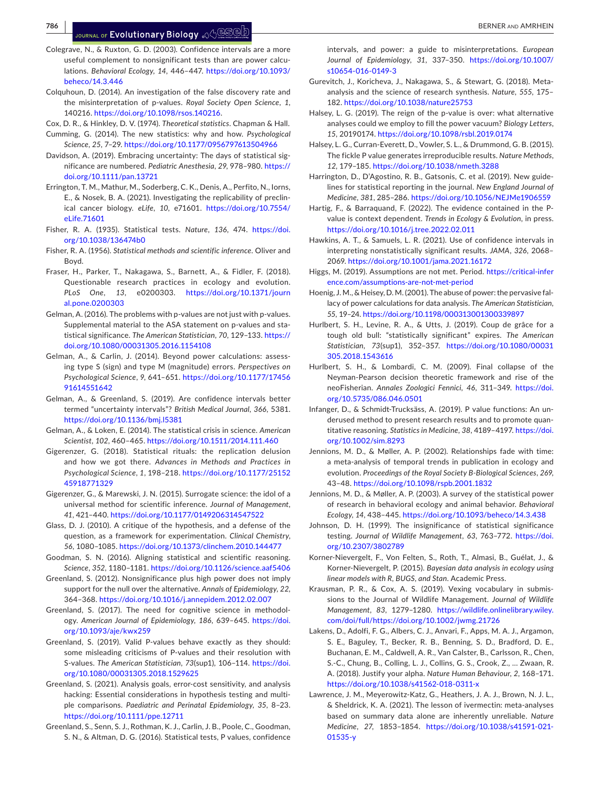**786 <sup>|</sup>**  BERNER and AMRHEIN

- <span id="page-9-24"></span>Colegrave, N., & Ruxton, G. D. (2003). Confidence intervals are a more useful complement to nonsignificant tests than are power calculations. *Behavioral Ecology*, *14*, 446–447. [https://doi.org/10.1093/](https://doi.org/10.1093/beheco/14.3.446) [beheco/14.3.446](https://doi.org/10.1093/beheco/14.3.446)
- <span id="page-9-26"></span>Colquhoun, D. (2014). An investigation of the false discovery rate and the misinterpretation of p-values. *Royal Society Open Science*, *1*, 140216. <https://doi.org/10.1098/rsos.140216>.
- <span id="page-9-22"></span><span id="page-9-10"></span>Cox, D. R., & Hinkley, D. V. (1974). *Theoretical statistics*. Chapman & Hall. Cumming, G. (2014). The new statistics: why and how. *Psychological*
- <span id="page-9-1"></span>*Science*, *25*, 7–29. <https://doi.org/10.1177/0956797613504966> Davidson, A. (2019). Embracing uncertainty: The days of statistical significance are numbered. *Pediatric Anesthesia*, *29*, 978–980. [https://](https://doi.org/10.1111/pan.13721)
- <span id="page-9-15"></span>[doi.org/10.1111/pan.13721](https://doi.org/10.1111/pan.13721) Errington, T. M., Mathur, M., Soderberg, C. K., Denis, A., Perfito, N., Iorns, E., & Nosek, B. A. (2021). Investigating the replicability of preclinical cancer biology. *eLife*, *10*, e71601. [https://doi.org/10.7554/](https://doi.org/10.7554/eLife.71601) [eLife.71601](https://doi.org/10.7554/eLife.71601)
- <span id="page-9-19"></span>Fisher, R. A. (1935). Statistical tests. *Nature*, *136*, 474. [https://doi.](https://doi.org/10.1038/136474b0) [org/10.1038/136474b0](https://doi.org/10.1038/136474b0)
- <span id="page-9-30"></span>Fisher, R. A. (1956). *Statistical methods and scientific inference*. Oliver and Boyd.
- <span id="page-9-16"></span>Fraser, H., Parker, T., Nakagawa, S., Barnett, A., & Fidler, F. (2018). Questionable research practices in ecology and evolution. *PLoS One*, *13*, e0200303. [https://doi.org/10.1371/journ](https://doi.org/10.1371/journal.pone.0200303) [al.pone.0200303](https://doi.org/10.1371/journal.pone.0200303)
- <span id="page-9-31"></span>Gelman, A. (2016). The problems with p-values are not just with p-values. Supplemental material to the ASA statement on p-values and statistical significance. *The American Statistician*, *70*, 129–133. [https://](https://doi.org/10.1080/00031305.2016.1154108) [doi.org/10.1080/00031305.2016.1154108](https://doi.org/10.1080/00031305.2016.1154108)
- <span id="page-9-27"></span>Gelman, A., & Carlin, J. (2014). Beyond power calculations: assessing type S (sign) and type M (magnitude) errors. *Perspectives on Psychological Science*, *9*, 641–651. [https://doi.org/10.1177/17456](https://doi.org/10.1177/1745691614551642) [91614551642](https://doi.org/10.1177/1745691614551642)
- <span id="page-9-38"></span>Gelman, A., & Greenland, S. (2019). Are confidence intervals better termed "uncertainty intervals"? *British Medical Journal*, *366*, 5381. <https://doi.org/10.1136/bmj.l5381>
- <span id="page-9-13"></span>Gelman, A., & Loken, E. (2014). The statistical crisis in science. *American Scientist*, *102*, 460–465.<https://doi.org/10.1511/2014.111.460>
- <span id="page-9-4"></span>Gigerenzer, G. (2018). Statistical rituals: the replication delusion and how we got there. *Advances in Methods and Practices in Psychological Science*, *1*, 198–218. [https://doi.org/10.1177/25152](https://doi.org/10.1177/2515245918771329) [45918771329](https://doi.org/10.1177/2515245918771329)
- <span id="page-9-29"></span>Gigerenzer, G., & Marewski, J. N. (2015). Surrogate science: the idol of a universal method for scientific inference. *Journal of Management*, *41*, 421–440. <https://doi.org/10.1177/0149206314547522>
- <span id="page-9-34"></span>Glass, D. J. (2010). A critique of the hypothesis, and a defense of the question, as a framework for experimentation. *Clinical Chemistry*, *56*, 1080–1085. <https://doi.org/10.1373/clinchem.2010.144477>
- <span id="page-9-7"></span>Goodman, S. N. (2016). Aligning statistical and scientific reasoning. *Science*, *352*, 1180–1181. <https://doi.org/10.1126/science.aaf5406>
- <span id="page-9-21"></span>Greenland, S. (2012). Nonsignificance plus high power does not imply support for the null over the alternative. *Annals of Epidemiology*, *22*, 364–368. <https://doi.org/10.1016/j.annepidem.2012.02.007>
- <span id="page-9-9"></span>Greenland, S. (2017). The need for cognitive science in methodology. *American Journal of Epidemiology*, *186*, 639–645. [https://doi.](https://doi.org/10.1093/aje/kwx259) [org/10.1093/aje/kwx259](https://doi.org/10.1093/aje/kwx259)
- <span id="page-9-17"></span>Greenland, S. (2019). Valid P-values behave exactly as they should: some misleading criticisms of P-values and their resolution with S-values. *The American Statistician*, *73*(sup1), 106–114. [https://doi.](https://doi.org/10.1080/00031305.2018.1529625) [org/10.1080/00031305.2018.1529625](https://doi.org/10.1080/00031305.2018.1529625)
- <span id="page-9-8"></span>Greenland, S. (2021). Analysis goals, error-cost sensitivity, and analysis hacking: Essential considerations in hypothesis testing and multiple comparisons. *Paediatric and Perinatal Epidemiology*, *35*, 8–23. <https://doi.org/10.1111/ppe.12711>
- <span id="page-9-23"></span>Greenland, S., Senn, S. J., Rothman, K. J., Carlin, J. B., Poole, C., Goodman, S. N., & Altman, D. G. (2016). Statistical tests, P values, confidence

intervals, and power: a guide to misinterpretations. *European Journal of Epidemiology*, *31*, 337–350. [https://doi.org/10.1007/](https://doi.org/10.1007/s10654-016-0149-3) [s10654-016-0149-3](https://doi.org/10.1007/s10654-016-0149-3)

- <span id="page-9-14"></span>Gurevitch, J., Koricheva, J., Nakagawa, S., & Stewart, G. (2018). Metaanalysis and the science of research synthesis. *Nature*, *555*, 175– 182. <https://doi.org/10.1038/nature25753>
- <span id="page-9-0"></span>Halsey, L. G. (2019). The reign of the p-value is over: what alternative analyses could we employ to fill the power vacuum? *Biology Letters*, *15*, 20190174.<https://doi.org/10.1098/rsbl.2019.0174>
- <span id="page-9-11"></span>Halsey, L. G., Curran-Everett, D., Vowler, S. L., & Drummond, G. B. (2015). The fickle P value generates irreproducible results. *Nature Methods*, *12*, 179–185.<https://doi.org/10.1038/nmeth.3288>
- <span id="page-9-2"></span>Harrington, D., D'Agostino, R. B., Gatsonis, C. et al. (2019). New guidelines for statistical reporting in the journal. *New England Journal of Medicine*, *381*, 285–286. <https://doi.org/10.1056/NEJMe1906559>
- <span id="page-9-18"></span>Hartig, F., & Barraquand, F. (2022). The evidence contained in the Pvalue is context dependent. *Trends in Ecology & Evolution*, in press. <https://doi.org/10.1016/j.tree.2022.02.011>
- <span id="page-9-25"></span>Hawkins, A. T., & Samuels, L. R. (2021). Use of confidence intervals in interpreting nonstatistically significant results. *JAMA*, *326*, 2068– 2069. <https://doi.org/10.1001/jama.2021.16172>
- <span id="page-9-12"></span>Higgs, M. (2019). Assumptions are not met. Period. [https://critical-infer](https://critical-inference.com/assumptions-are-not-met-period) [ence.com/assumptions-are-not-met-period](https://critical-inference.com/assumptions-are-not-met-period)
- <span id="page-9-32"></span>Hoenig, J. M., & Heisey, D. M. (2001). The abuse of power: the pervasive fallacy of power calculations for data analysis. *The American Statistician*, *55*, 19–24. <https://doi.org/10.1198/000313001300339897>
- <span id="page-9-36"></span>Hurlbert, S. H., Levine, R. A., & Utts, J. (2019). Coup de grâce for a tough old bull: "statistically significant" expires. *The American Statistician*, *73*(sup1), 352–357. [https://doi.org/10.1080/00031](https://doi.org/10.1080/00031305.2018.1543616) [305.2018.1543616](https://doi.org/10.1080/00031305.2018.1543616)
- <span id="page-9-5"></span>Hurlbert, S. H., & Lombardi, C. M. (2009). Final collapse of the Neyman-Pearson decision theoretic framework and rise of the neoFisherian. *Annales Zoologici Fennici*, *46*, 311–349. [https://doi.](https://doi.org/10.5735/086.046.0501) [org/10.5735/086.046.0501](https://doi.org/10.5735/086.046.0501)
- <span id="page-9-28"></span>Infanger, D., & Schmidt-Trucksäss, A. (2019). P value functions: An underused method to present research results and to promote quantitative reasoning. *Statistics in Medicine*, *38*, 4189–4197. [https://doi.](https://doi.org/10.1002/sim.8293) [org/10.1002/sim.8293](https://doi.org/10.1002/sim.8293)
- <span id="page-9-33"></span>Jennions, M. D., & Møller, A. P. (2002). Relationships fade with time: a meta-analysis of temporal trends in publication in ecology and evolution. *Proceedings of the Royal Society B-Biological Sciences*, *269*, 43–48. <https://doi.org/10.1098/rspb.2001.1832>
- <span id="page-9-20"></span>Jennions, M. D., & Møller, A. P. (2003). A survey of the statistical power of research in behavioral ecology and animal behavior. *Behavioral Ecology*, *14*, 438–445. <https://doi.org/10.1093/beheco/14.3.438>
- <span id="page-9-6"></span>Johnson, D. H. (1999). The insignificance of statistical significance testing. *Journal of Wildlife Management*, *63*, 763–772. [https://doi.](https://doi.org/10.2307/3802789) [org/10.2307/3802789](https://doi.org/10.2307/3802789)
- <span id="page-9-39"></span>Korner-Nievergelt, F., Von Felten, S., Roth, T., Almasi, B., Guélat, J., & Korner-Nievergelt, P. (2015). *Bayesian data analysis in ecology using linear models with R, BUGS, and Stan*. Academic Press.
- <span id="page-9-3"></span>Krausman, P. R., & Cox, A. S. (2019). Vexing vocabulary in submissions to the Journal of Wildlife Management. *Journal of Wildlife Management*, *83*, 1279–1280. [https://wildlife.onlinelibrary.wiley.](https://wildlife.onlinelibrary.wiley.com/doi/full/) [com/doi/full/](https://wildlife.onlinelibrary.wiley.com/doi/full/)<https://doi.org/10.1002/jwmg.21726>
- <span id="page-9-37"></span>Lakens, D., Adolfi, F. G., Albers, C. J., Anvari, F., Apps, M. A. J., Argamon, S. E., Baguley, T., Becker, R. B., Benning, S. D., Bradford, D. E., Buchanan, E. M., Caldwell, A. R., Van Calster, B., Carlsson, R., Chen, S.-C., Chung, B., Colling, L. J., Collins, G. S., Crook, Z., … Zwaan, R. A. (2018). Justify your alpha. *Nature Human Behaviour*, *2*, 168–171. <https://doi.org/10.1038/s41562-018-0311-x>
- <span id="page-9-35"></span>Lawrence, J. M., Meyerowitz-Katz, G., Heathers, J. A. J., Brown, N. J. L., & Sheldrick, K. A. (2021). The lesson of ivermectin: meta-analyses based on summary data alone are inherently unreliable. *Nature Medicine*, *27*, 1853–1854. [https://doi.org/10.1038/s41591-021-](https://doi.org/10.1038/s41591-021-01535-y) [01535-y](https://doi.org/10.1038/s41591-021-01535-y)